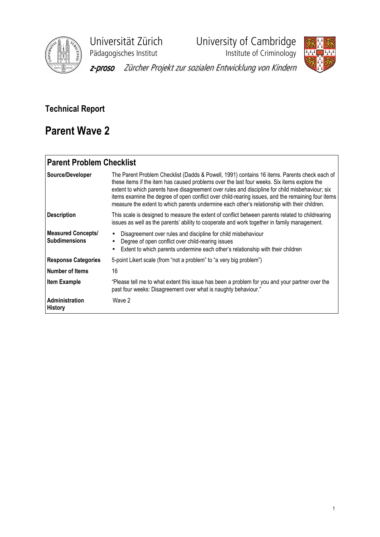

Universität Zürich<br>
Pädagogisches Institut<br>
Institute of Criminology

y<br>Institute of Criminology



z-proso Zürcher Projekt zur sozialen Entwicklung von Kindern

## Technical Report

# Parent Wave 2

## Parent Problem Checklist

| Source/Developer                                  | The Parent Problem Checklist (Dadds & Powell, 1991) contains 16 items. Parents check each of<br>these items if the item has caused problems over the last four weeks. Six items explore the<br>extent to which parents have disagreement over rules and discipline for child misbehaviour; six<br>items examine the degree of open conflict over child-rearing issues, and the remaining four items<br>measure the extent to which parents undermine each other's relationship with their children. |
|---------------------------------------------------|-----------------------------------------------------------------------------------------------------------------------------------------------------------------------------------------------------------------------------------------------------------------------------------------------------------------------------------------------------------------------------------------------------------------------------------------------------------------------------------------------------|
| <b>Description</b>                                | This scale is designed to measure the extent of conflict between parents related to childrearing<br>issues as well as the parents' ability to cooperate and work together in family management.                                                                                                                                                                                                                                                                                                     |
| <b>Measured Concepts/</b><br><b>Subdimensions</b> | Disagreement over rules and discipline for child misbehaviour<br>$\bullet$<br>Degree of open conflict over child-rearing issues<br>Extent to which parents undermine each other's relationship with their children                                                                                                                                                                                                                                                                                  |
| <b>Response Categories</b>                        | 5-point Likert scale (from "not a problem" to "a very big problem")                                                                                                                                                                                                                                                                                                                                                                                                                                 |
| l Number of Items                                 | 16                                                                                                                                                                                                                                                                                                                                                                                                                                                                                                  |
| <b>Item Example</b>                               | "Please tell me to what extent this issue has been a problem for you and your partner over the<br>past four weeks: Disagreement over what is naughty behaviour."                                                                                                                                                                                                                                                                                                                                    |
| Administration<br><b>History</b>                  | Wave 2                                                                                                                                                                                                                                                                                                                                                                                                                                                                                              |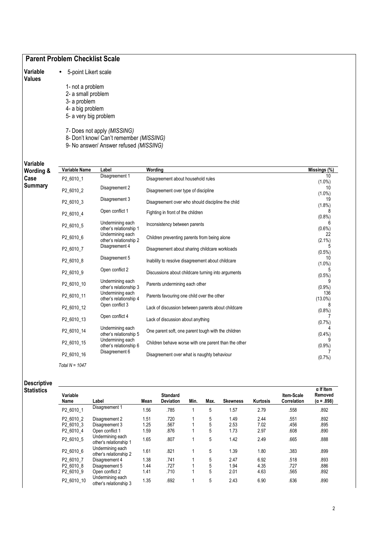|                           | <b>Parent Problem Checklist Scale</b>                                                                                       |                                                                                                                  |                                                      |                              |
|---------------------------|-----------------------------------------------------------------------------------------------------------------------------|------------------------------------------------------------------------------------------------------------------|------------------------------------------------------|------------------------------|
| Variable<br><b>Values</b> | 5-point Likert scale<br>1- not a problem<br>2- a small problem<br>3- a problem<br>4- a big problem<br>5- a very big problem | 7- Does not apply (MISSING)<br>8- Don't know/ Can't remember (MISSING)<br>9- No answer/ Answer refused (MISSING) |                                                      |                              |
| Variable                  | Variable Name                                                                                                               | Label                                                                                                            | Wording                                              | Missings (%)                 |
| Wording &<br>Case         | P2_6010_1                                                                                                                   | Disagreement 1                                                                                                   | Disagreement about household rules                   | 10                           |
| <b>Summary</b>            | P2_6010_2                                                                                                                   | Disagreement 2                                                                                                   | Disagreement over type of discipline                 | $(1.0\%)$<br>10<br>$(1.0\%)$ |
|                           | P2_6010_3                                                                                                                   | Disagreement 3                                                                                                   | Disagreement over who should discipline the child    | 19<br>$(1.8\%)$              |
|                           | P2_6010_4                                                                                                                   | Open conflict 1                                                                                                  | Fighting in front of the children                    | 8                            |
|                           | P2_6010_5                                                                                                                   | Undermining each<br>other's relationship 1                                                                       | Inconsistency between parents                        | $(0.8\%)$<br>6<br>$(0.6\%)$  |
|                           | P2_6010_6                                                                                                                   | Undermining each<br>other's relationship 2                                                                       | Children preventing parents from being alone         | 22<br>$(2.1\%)$              |
|                           | P <sub>2</sub> 6010_7                                                                                                       | Disagreement 4                                                                                                   | Disagreement about sharing childcare workloads       | 5<br>$(0.5\%)$               |
|                           | P2_6010_8                                                                                                                   | Disagreement 5                                                                                                   | Inability to resolve disagreement about childcare    | 10<br>$(1.0\%)$              |
|                           | P2_6010_9                                                                                                                   | Open conflict 2                                                                                                  | Discussions about childcare turning into arguments   | $(0.5\%)$                    |
|                           | P2_6010_10                                                                                                                  | Undermining each<br>other's relationship 3                                                                       | Parents undermining each other                       | (0.9%                        |
|                           | P2_6010_11                                                                                                                  | Undermining each<br>other's relationship 4                                                                       | Parents favouring one child over the other           | 136<br>$(13.0\%)$            |
|                           | P2_6010_12                                                                                                                  | Open conflict 3                                                                                                  | Lack of discussion between parents about childcare   | 8<br>$(0.8\%)$               |
|                           | P2_6010_13                                                                                                                  | Open conflict 4                                                                                                  | Lack of discussion about anything                    | (0.7%                        |
|                           | P2_6010_14                                                                                                                  | Undermining each<br>other's relationship 5                                                                       | One parent soft, one parent tough with the children  | $(0.4\%)$                    |
|                           | P2_6010_15                                                                                                                  | Undermining each<br>other's relationship 6                                                                       | Children behave worse with one parent than the other | (0.9%                        |
|                           | P2_6010_16                                                                                                                  | Disagreement 6                                                                                                   | Disagreement over what is naughty behaviour          | (0.7%                        |
|                           | Total $N = 1047$                                                                                                            |                                                                                                                  |                                                      |                              |

| Descriptive |  |
|-------------|--|
| Statistics  |  |

| Variable<br>Name | Label                                      | Mean | <b>Standard</b><br><b>Deviation</b> | Min. | Max. | <b>Skewness</b> | Kurtosis | <b>Item-Scale</b><br>Correlation | $\alpha$ If Item<br>Removed<br>$(\alpha = .898)$ |
|------------------|--------------------------------------------|------|-------------------------------------|------|------|-----------------|----------|----------------------------------|--------------------------------------------------|
| P2 6010 1        | Disagreement 1                             | 1.56 | .785                                |      | 5    | 1.57            | 2.79     | .558                             | .892                                             |
| P2 6010 2        | Disagreement 2                             | 1.51 | .720                                |      | 5    | 1.49            | 2.44     | .551                             | .892                                             |
| P2 6010 3        | Disagreement 3                             | 1.25 | .567                                | и    | 5    | 2.53            | 7.02     | .456                             | .895                                             |
| P2 6010 4        | Open conflict 1                            | 1.59 | .876                                |      | 5    | 1.73            | 2.97     | .608                             | .890                                             |
| P2 6010 5        | Undermining each<br>other's relationship 1 | 1.65 | .807                                |      | 5    | 1.42            | 2.49     | .665                             | .888                                             |
| P2 6010 6        | Undermining each<br>other's relationship 2 | 1.61 | .821                                | 4    | 5    | 1.39            | 1.80     | .383                             | .899                                             |
| P2 6010 7        | Disagreement 4                             | 1.38 | .741                                | и    | 5    | 2.47            | 6.92     | .518                             | .893                                             |
| P2 6010 8        | Disagreement 5                             | 1.44 | .727                                |      | 5    | 1.94            | 4.35     | .727                             | .886                                             |
| P2 6010 9        | Open conflict 2                            | 1.41 | .710                                |      | 5    | 2.01            | 4.63     | .565                             | .892                                             |
| P2 6010 10       | Undermining each<br>other's relationship 3 | 1.35 | .692                                | 4    | 5    | 2.43            | 6.90     | .636                             | .890                                             |